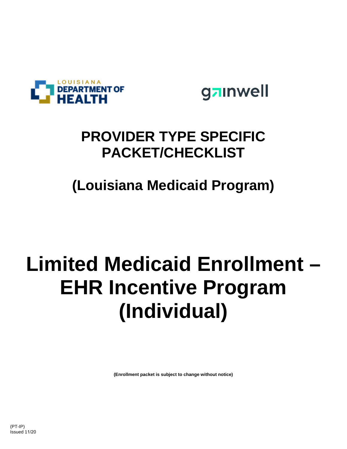

gainwell

# **PROVIDER TYPE SPECIFIC PACKET/CHECKLIST**

**(Louisiana Medicaid Program)**

# **Limited Medicaid Enrollment – EHR Incentive Program (Individual)**

**(Enrollment packet is subject to change without notice)**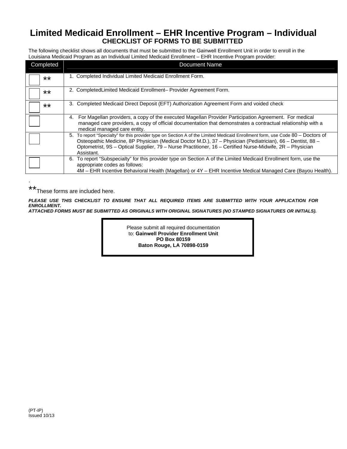#### **Limited Medicaid Enrollment – EHR Incentive Program – Individual CHECKLIST OF FORMS TO BE SUBMITTED**

The following checklist shows all documents that must be submitted to the Gainwell Enrollment Unit in order to enroll in the Louisiana Medicaid Program as an Individual Limited Medicaid Enrollment – EHR Incentive Program provider:

| Completed | <b>Document Name</b>                                                                                                                                                                                                                                                                                                                                                     |
|-----------|--------------------------------------------------------------------------------------------------------------------------------------------------------------------------------------------------------------------------------------------------------------------------------------------------------------------------------------------------------------------------|
| $***$     | 1. Completed Individual Limited Medicaid Enrollment Form.                                                                                                                                                                                                                                                                                                                |
| $***$     | 2. Completed Limited Medicaid Enrollment-Provider Agreement Form.                                                                                                                                                                                                                                                                                                        |
| **        | 3. Completed Medicaid Direct Deposit (EFT) Authorization Agreement Form and voided check                                                                                                                                                                                                                                                                                 |
|           | For Magellan providers, a copy of the executed Magellan Provider Participation Agreement. For medical<br>4.<br>managed care providers, a copy of official documentation that demonstrates a contractual relationship with a<br>medical managed care entity.                                                                                                              |
|           | 5. To report "Specialty" for this provider type on Section A of the Limited Medicaid Enrollment form, use Code 80 - Doctors of<br>Osteopathic Medicine, 8P Physician (Medical Doctor M.D.), 37 - Physician (Pediatrician), 66 - Dentist, 88 -<br>Optometrist, 9S - Optical Supplier, 79 - Nurse Practitioner, 16 - Certified Nurse-Midwife, 2R - Physician<br>Assistant. |
|           | 6. To report "Subspecialty" for this provider type on Section A of the Limited Medicaid Enrollment form, use the<br>appropriate codes as follows:<br>4M – EHR Incentive Behavioral Health (Magellan) or 4Y – EHR Incentive Medical Managed Care (Bayou Health).                                                                                                          |

\*\* These forms are included here.

.

*PLEASE USE THIS CHECKLIST TO ENSURE THAT ALL REQUIRED ITEMS ARE SUBMITTED WITH YOUR APPLICATION FOR ENROLLMENT. ATTACHED FORMS MUST BE SUBMITTED AS ORIGINALS WITH ORIGINAL SIGNATURES (NO STAMPED SIGNATURES OR INITIALS).* 

> Please submit all required documentation to: **Gainwell Provider Enrollment Unit PO Box 80159 Baton Rouge, LA 70898-0159**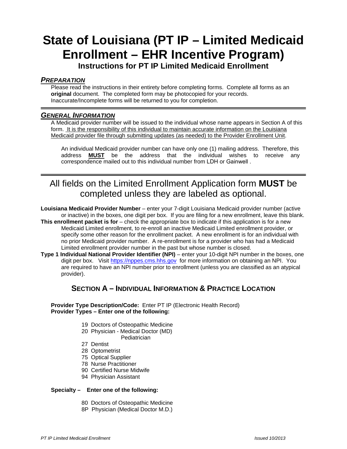## **State of Louisiana (PT IP – Limited Medicaid Enrollment – EHR Incentive Program)**

**Instructions for PT IP Limited Medicaid Enrollment** 

#### *PREPARATION*

Please read the instructions in their entirety before completing forms. Complete all forms as an **original** document. The completed form may be photocopied for your records. Inaccurate/Incomplete forms will be returned to you for completion.

#### *GENERAL INFORMATION*

A Medicaid provider number will be issued to the individual whose name appears in Section A of this form. It is the responsibility of this individual to maintain accurate information on the Louisiana Medicaid provider file through submitting updates (as needed) to the Provider Enrollment Unit.

An individual Medicaid provider number can have only one (1) mailing address. Therefore, this address **MUST** be the address that the individual wishes to receive any correspondence mailed out to this individual number from LDH or Gainwell .

### All fields on the Limited Enrollment Application form **MUST** be completed unless they are labeled as optional.

**Louisiana Medicaid Provider Number** – enter your 7-digit Louisiana Medicaid provider number (active or inactive) in the boxes, one digit per box. If you are filing for a new enrollment, leave this blank.

- **This enrollment packet is for** check the appropriate box to indicate if this application is for a new Medicaid Limited enrollment, to re-enroll an inactive Medicaid Limited enrollment provider, or specify some other reason for the enrollment packet. A new enrollment is for an individual with no prior Medicaid provider number. A re-enrollment is for a provider who has had a Medicaid Limited enrollment provider number in the past but whose number is closed.
- **Type 1 Individual National Provider Identifier (NPI)** enter your 10-digit NPI number in the boxes, one digit per box. Visit https://nppes.cms.hhs.gov for more information on obtaining an NPI. You are required to have an NPI number prior to enrollment (unless you are classified as an atypical provider).

#### **SECTION A – INDIVIDUAL INFORMATION & PRACTICE LOCATION**

**Provider Type Description/Code:** Enter PT IP (Electronic Health Record) **Provider Types – Enter one of the following:** 

- 19 Doctors of Osteopathic Medicine
- 20 Physician Medical Doctor (MD)
	- **Pediatrician**
- 27 Dentist
- 28 Optometrist
- 75 Optical Supplier
- 78 Nurse Practitioner
- 90 Certified Nurse Midwife
- 94 Physician Assistant

#### **Specialty – Enter one of the following:**

- 80 Doctors of Osteopathic Medicine
- 8P Physician (Medical Doctor M.D.)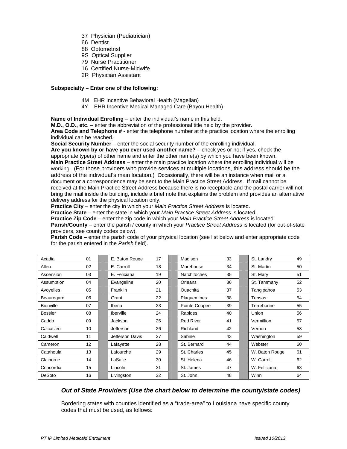- 37 Physician (Pediatrician)
- 66 Dentist
- 88 Optometrist
- 9S Optical Supplier
- 79 Nurse Practitioner
- 16 Certified Nurse-Midwife
- 2R Physician Assistant

#### **Subspecialty – Enter one of the following:**

- 4M EHR Incentive Behavioral Health (Magellan)
- 4Y EHR Incentive Medical Managed Care (Bayou Health)

**Name of Individual Enrolling** – enter the individual's name in this field.

**M.D., O.D., etc.** – enter the abbreviation of the professional title held by the provider.

**Area Code and Telephone #** - enter the telephone number at the practice location where the enrolling individual can be reached*.*

**Social Security Number** – enter the social security number of the enrolling individual.

**Are you known by or have you ever used another name? –** check yes or no; if yes, check the appropriate type(s) of other name and enter the other name(s) by which you have been known. **Main Practice Street Address** – enter the main practice location where the enrolling individual will be working. (For those providers who provide services at multiple locations, this address should be the address of the individual's main location.) Occasionally, there will be an instance when mail or a document or a correspondence may be sent to the Main Practice Street Address. If mail cannot be received at the Main Practice Street Address because there is no receptacle and the postal carrier will not bring the mail inside the building, include a brief note that explains the problem and provides an alternative delivery address for the physical location only.

**Practice City** – enter the city in which your *Main Practice Street Address* is located.

**Practice State** – enter the state in which your *Main Practice Street Address* is located.

**Practice Zip Code** – enter the zip code in which your *Main Practice Street Address* is located. **Parish/County** – enter the parish / county in which your *Practice Street Address* is located (for out-of-state providers, see county codes below).

**Parish Code** – enter the parish code of your physical location (see list below and enter appropriate code for the parish entered in the *Parish* field).

| Acadia           | 01 | E. Baton Rouge   | 17 | Madison             | 33 | St. Landry     | 49 |
|------------------|----|------------------|----|---------------------|----|----------------|----|
| Allen            | 02 | E. Carroll       | 18 | Morehouse           | 34 | St. Martin     | 50 |
| Ascension        | 03 | E. Feliciana     | 19 | <b>Natchitoches</b> | 35 | St. Mary       | 51 |
| Assumption       | 04 | Evangeline       | 20 | Orleans             | 36 | St. Tammany    | 52 |
| Avoyelles        | 05 | Franklin         | 21 | <b>Ouachita</b>     | 37 | Tangipahoa     | 53 |
| Beauregard       | 06 | Grant            | 22 | Plaquemines         | 38 | Tensas         | 54 |
| <b>Bienville</b> | 07 | Iberia           | 23 | Pointe Coupee       | 39 | Terrebonne     | 55 |
| <b>Bossier</b>   | 08 | <b>Iberville</b> | 24 | Rapides             | 40 | Union          | 56 |
| Caddo            | 09 | Jackson          | 25 | <b>Red River</b>    | 41 | Vermillion     | 57 |
| Calcasieu        | 10 | Jefferson        | 26 | Richland            | 42 | Vernon         | 58 |
| Caldwell         | 11 | Jefferson Davis  | 27 | Sabine              | 43 | Washington     | 59 |
| Cameron          | 12 | Lafayette        | 28 | St. Bernard         | 44 | Webster        | 60 |
| Catahoula        | 13 | Lafourche        | 29 | St. Charles         | 45 | W. Baton Rouge | 61 |
| Claiborne        | 14 | LaSalle          | 30 | St. Helena          | 46 | W. Carroll     | 62 |
| Concordia        | 15 | Lincoln          | 31 | St. James           | 47 | W. Feliciana   | 63 |
| DeSoto           | 16 | Livingston       | 32 | St. John            | 48 | Winn           | 64 |

#### *Out of State Providers (Use the chart below to determine the county/state codes)*

Bordering states with counties identified as a "trade-area" to Louisiana have specific county codes that must be used, as follows: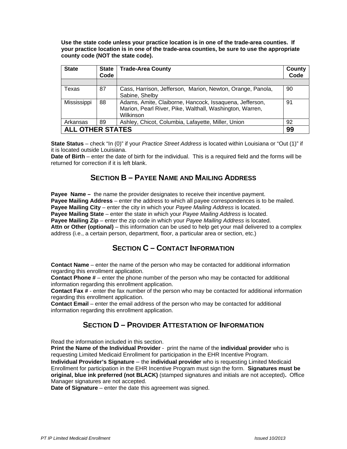**Use the state code unless your practice location is in one of the trade-area counties. If your practice location is in one of the trade-area counties, be sure to use the appropriate county code (NOT the state code).** 

| <b>State</b>                  | <b>State</b><br>Code | <b>Trade-Area County</b>                                                                                                         | County<br>Code |  |  |  |  |
|-------------------------------|----------------------|----------------------------------------------------------------------------------------------------------------------------------|----------------|--|--|--|--|
|                               |                      |                                                                                                                                  |                |  |  |  |  |
| Texas                         | 87                   | Cass, Harrison, Jefferson, Marion, Newton, Orange, Panola,<br>Sabine, Shelby                                                     | 90             |  |  |  |  |
| Mississippi                   | 88                   | Adams, Amite, Claiborne, Hancock, Issaquena, Jefferson,<br>Marion, Pearl River, Pike, Walthall, Washington, Warren,<br>Wilkinson | 91             |  |  |  |  |
| Arkansas                      | 89                   | Ashley, Chicot, Columbia, Lafayette, Miller, Union                                                                               | 92             |  |  |  |  |
| <b>ALL OTHER STATES</b><br>99 |                      |                                                                                                                                  |                |  |  |  |  |

**State Status** – check "In (0)" if your *Practice Street Address* is located within Louisiana or "Out (1)" if it is located outside Louisiana.

**Date of Birth** – enter the date of birth for the individual. This is a required field and the forms will be returned for correction if it is left blank.

#### **SECTION B – PAYEE NAME AND MAILING ADDRESS**

**Payee Name** – the name the provider designates to receive their incentive payment. **Payee Mailing Address** – enter the address to which all payee correspondences is to be mailed. **Payee Mailing City** – enter the city in which your *Payee Mailing Address* is located. **Payee Mailing State** – enter the state in which your *Payee Mailing Address* is located. **Payee Mailing Zip** – enter the zip code in which your *Payee Mailing Address* is located. **Attn or Other (optional)** – this information can be used to help get your mail delivered to a complex address (i.e., a certain person, department, floor, a particular area or section, etc.)

#### **SECTION C – CONTACT INFORMATION**

**Contact Name** – enter the name of the person who may be contacted for additional information regarding this enrollment application.

**Contact Phone #** – enter the phone number of the person who may be contacted for additional information regarding this enrollment application.

**Contact Fax #** - enter the fax number of the person who may be contacted for additional information regarding this enrollment application.

**Contact Email** – enter the email address of the person who may be contacted for additional information regarding this enrollment application.

#### **SECTION D – PROVIDER ATTESTATION OF INFORMATION**

Read the information included in this section.

**Print the Name of the Individual Provider** - print the name of the **individual provider** who is requesting Limited Medicaid Enrollment for participation in the EHR Incentive Program.

**Individual Provider's Signature** – the **individual provider** who is requesting Limited Medicaid Enrollment for participation in the EHR Incentive Program must sign the form. **Signatures must be original, blue ink preferred (not BLACK)** (stamped signatures and initials are not accepted)**.** Office Manager signatures are not accepted.

**Date of Signature** – enter the date this agreement was signed.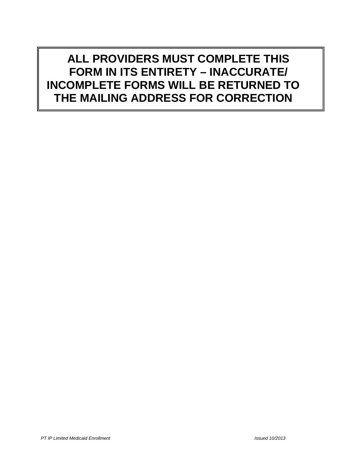**ALL PROVIDERS MUST COMPLETE THIS FORM IN ITS ENTIRETY – INACCURATE/ INCOMPLETE FORMS WILL BE RETURNED TO THE MAILING ADDRESS FOR CORRECTION**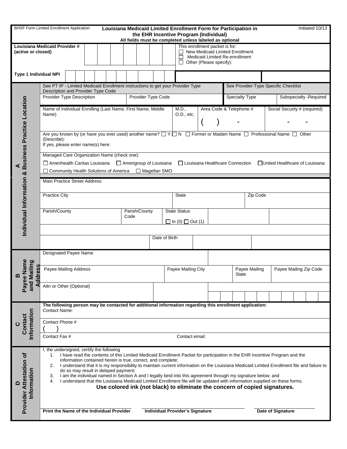| <b>BHSF Form Limited Enrollment Application</b><br>Louisiana Medicaid Limited Enrollment Form for Participation in<br>Initiated 10/13<br>the EHR Incentive Program (Individual)<br>All fields must be completed unless labeled as optional |                                                                                                                                                                                                                                                                                                                                                                                                                                                                                                                                                                                                                                                                                                                                                                                    |  |                                                                                                                                          |                    |               |                               |                                                     |                     |                        |  |                         |                              |                                      |  |  |  |  |
|--------------------------------------------------------------------------------------------------------------------------------------------------------------------------------------------------------------------------------------------|------------------------------------------------------------------------------------------------------------------------------------------------------------------------------------------------------------------------------------------------------------------------------------------------------------------------------------------------------------------------------------------------------------------------------------------------------------------------------------------------------------------------------------------------------------------------------------------------------------------------------------------------------------------------------------------------------------------------------------------------------------------------------------|--|------------------------------------------------------------------------------------------------------------------------------------------|--------------------|---------------|-------------------------------|-----------------------------------------------------|---------------------|------------------------|--|-------------------------|------------------------------|--------------------------------------|--|--|--|--|
| (active or closed)                                                                                                                                                                                                                         | Louisiana Medicaid Provider #                                                                                                                                                                                                                                                                                                                                                                                                                                                                                                                                                                                                                                                                                                                                                      |  | This enrollment packet is for:<br>New Medicaid Limited Enrollment<br>Medicaid Limited Re-enrollment<br>Other (Please specify):<br>$\Box$ |                    |               |                               |                                                     |                     |                        |  |                         |                              |                                      |  |  |  |  |
| <b>Type 1 Individual NPI</b>                                                                                                                                                                                                               |                                                                                                                                                                                                                                                                                                                                                                                                                                                                                                                                                                                                                                                                                                                                                                                    |  |                                                                                                                                          |                    |               |                               |                                                     |                     |                        |  |                         |                              |                                      |  |  |  |  |
|                                                                                                                                                                                                                                            | See PT IP - Limited Medicaid Enrollment instructions to get your Provider Type<br>Description and Provider Type Code                                                                                                                                                                                                                                                                                                                                                                                                                                                                                                                                                                                                                                                               |  |                                                                                                                                          |                    |               |                               |                                                     |                     |                        |  |                         |                              | See Provider-Type Specific Checklist |  |  |  |  |
|                                                                                                                                                                                                                                            | <b>Provider Type Description</b>                                                                                                                                                                                                                                                                                                                                                                                                                                                                                                                                                                                                                                                                                                                                                   |  |                                                                                                                                          |                    |               | Provider Type Code            |                                                     |                     |                        |  | <b>Specialty Type</b>   | Subspecialty - Required      |                                      |  |  |  |  |
| <b>Business Practice Location</b>                                                                                                                                                                                                          | Name of Individual Enrolling (Last Name, First Name, Middle<br>Name)                                                                                                                                                                                                                                                                                                                                                                                                                                                                                                                                                                                                                                                                                                               |  |                                                                                                                                          |                    |               |                               |                                                     | M.D.,<br>O.D., etc. |                        |  | Area Code & Telephone # | Social Security # (required) |                                      |  |  |  |  |
|                                                                                                                                                                                                                                            | Are you known by (or have you ever used) another name? $\Box Y \Box N$ $\Box$ Former or Maiden Name $\Box$ Professional Name $\Box$ Other<br>(Describe):<br>If yes, please enter name(s) here:                                                                                                                                                                                                                                                                                                                                                                                                                                                                                                                                                                                     |  |                                                                                                                                          |                    |               |                               |                                                     |                     |                        |  |                         |                              |                                      |  |  |  |  |
|                                                                                                                                                                                                                                            | Managed Care Organization Name (check one):<br>$\Box$ Amerihealth Caritas Louisiana<br>Amerigroup of Louisiana<br>□United Healthcare of Louisiana<br>□ Louisiana Healthcare Connection<br>Community Health Solutions of America □ Magellan SMO                                                                                                                                                                                                                                                                                                                                                                                                                                                                                                                                     |  |                                                                                                                                          |                    |               |                               |                                                     |                     |                        |  |                         |                              |                                      |  |  |  |  |
|                                                                                                                                                                                                                                            | <b>Main Practice Street Address</b>                                                                                                                                                                                                                                                                                                                                                                                                                                                                                                                                                                                                                                                                                                                                                |  |                                                                                                                                          |                    |               |                               |                                                     |                     |                        |  |                         |                              |                                      |  |  |  |  |
|                                                                                                                                                                                                                                            | <b>Practice City</b>                                                                                                                                                                                                                                                                                                                                                                                                                                                                                                                                                                                                                                                                                                                                                               |  |                                                                                                                                          | <b>State</b>       |               |                               |                                                     |                     | Zip Code               |  |                         |                              |                                      |  |  |  |  |
| Individual Information &                                                                                                                                                                                                                   | Parish/County<br>Parish/County<br>Code                                                                                                                                                                                                                                                                                                                                                                                                                                                                                                                                                                                                                                                                                                                                             |  |                                                                                                                                          |                    |               |                               | <b>State Status</b><br>$\Box$ In (0) $\Box$ Out (1) |                     |                        |  |                         |                              |                                      |  |  |  |  |
|                                                                                                                                                                                                                                            |                                                                                                                                                                                                                                                                                                                                                                                                                                                                                                                                                                                                                                                                                                                                                                                    |  |                                                                                                                                          |                    | Date of Birth |                               |                                                     |                     |                        |  |                         |                              |                                      |  |  |  |  |
|                                                                                                                                                                                                                                            | <b>Designated Payee Name</b>                                                                                                                                                                                                                                                                                                                                                                                                                                                                                                                                                                                                                                                                                                                                                       |  |                                                                                                                                          |                    |               |                               |                                                     |                     |                        |  |                         |                              |                                      |  |  |  |  |
| lame<br>Mailing<br>dress<br>خ<br>ه<br>മ                                                                                                                                                                                                    | Payee Mailing Address                                                                                                                                                                                                                                                                                                                                                                                                                                                                                                                                                                                                                                                                                                                                                              |  |                                                                                                                                          | Payee Mailing City |               | Payee Mailing<br><b>State</b> |                                                     |                     | Payee Mailing Zip Code |  |                         |                              |                                      |  |  |  |  |
| Paye<br>হ<br>ব<br>and                                                                                                                                                                                                                      | Attn or Other (Optional)                                                                                                                                                                                                                                                                                                                                                                                                                                                                                                                                                                                                                                                                                                                                                           |  |                                                                                                                                          |                    |               |                               |                                                     |                     |                        |  |                         |                              |                                      |  |  |  |  |
|                                                                                                                                                                                                                                            | The following person may be contacted for additional information regarding this enrollment application:                                                                                                                                                                                                                                                                                                                                                                                                                                                                                                                                                                                                                                                                            |  |                                                                                                                                          |                    |               |                               |                                                     |                     |                        |  |                         |                              |                                      |  |  |  |  |
|                                                                                                                                                                                                                                            | <b>Contact Name:</b>                                                                                                                                                                                                                                                                                                                                                                                                                                                                                                                                                                                                                                                                                                                                                               |  |                                                                                                                                          |                    |               |                               |                                                     |                     |                        |  |                         |                              |                                      |  |  |  |  |
| Information<br>Contact                                                                                                                                                                                                                     | Contact Phone #                                                                                                                                                                                                                                                                                                                                                                                                                                                                                                                                                                                                                                                                                                                                                                    |  |                                                                                                                                          |                    |               |                               |                                                     |                     |                        |  |                         |                              |                                      |  |  |  |  |
|                                                                                                                                                                                                                                            | Contact Fax #                                                                                                                                                                                                                                                                                                                                                                                                                                                                                                                                                                                                                                                                                                                                                                      |  |                                                                                                                                          |                    |               |                               |                                                     | Contact email:      |                        |  |                         |                              |                                      |  |  |  |  |
| <b>Provider Attestation of</b><br>Information<br>$\Box$                                                                                                                                                                                    | I, the undersigned, certify the following<br>I have read the contents of this Limited Medicaid Enrollment Packet for participation in the EHR Incentive Program and the<br>1.<br>information contained herein is true, correct, and complete;<br>I understand that it is my responsibility to maintain current information on the Louisiana Medicaid Limited Enrollment file and failure to<br>2.<br>do so may result in delayed payment;<br>I am the individual named in Section A and I legally bind into this agreement through my signature below; and<br>3.<br>I understand that the Louisiana Medicaid Limited Enrollment file will be updated with information supplied on these forms.<br>4.<br>Use colored ink (not black) to eliminate the concern of copied signatures. |  |                                                                                                                                          |                    |               |                               |                                                     |                     |                        |  |                         |                              |                                      |  |  |  |  |
|                                                                                                                                                                                                                                            | Print the Name of the Individual Provider<br><b>Individual Provider's Signature</b><br>Date of Signature                                                                                                                                                                                                                                                                                                                                                                                                                                                                                                                                                                                                                                                                           |  |                                                                                                                                          |                    |               |                               |                                                     |                     |                        |  |                         |                              |                                      |  |  |  |  |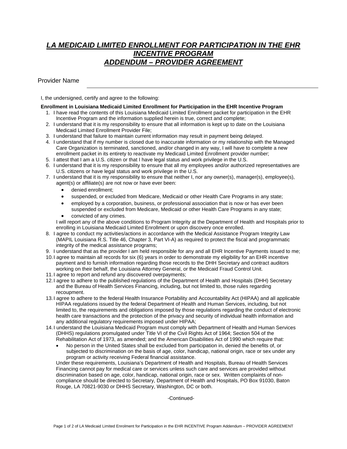#### *LA MEDICAID LIMITED ENROLLMENT FOR PARTICIPATION IN THE EHR INCENTIVE PROGRAM ADDENDUM – PROVIDER AGREEMENT*

Provider Name

I, the undersigned, certify and agree to the following:

#### **Enrollment in Louisiana Medicaid Limited Enrollment for Participation in the EHR Incentive Program**

- 1. I have read the contents of this Louisiana Medicaid Limited Enrollment packet for participation in the EHR Incentive Program and the information supplied herein is true, correct and complete;
- 2. I understand that it is my responsibility to ensure that all information is kept up to date on the Louisiana Medicaid Limited Enrollment Provider File;
- 3. I understand that failure to maintain current information may result in payment being delayed.
- 4. I understand that if my number is closed due to inaccurate information or my relationship with the Managed Care Organization is terminated, sanctioned, and/or changed in any way, I will have to complete a new enrollment packet in its entirety to reactivate my Medicaid Limited Enrollment provider number;
- 5. I attest that I am a U.S. citizen or that I have legal status and work privilege in the U.S.
- 6. I understand that it is my responsibility to ensure that all my employees and/or authorized representatives are U.S. citizens or have legal status and work privilege in the U.S.
- 7. I understand that it is my responsibility to ensure that neither I, nor any owner(s), manager(s), employee(s), agent(s) or affiliate(s) are not now or have ever been:
	- denied enrollment;
	- suspended, or excluded from Medicare, Medicaid or other Health Care Programs in any state;
	- employed by a corporation, business, or professional association that is now or has ever been suspended or excluded from Medicare, Medicaid or other Health Care Programs in any state;
	- convicted of any crimes.

I will report any of the above conditions to Program Integrity at the Department of Health and Hospitals prior to enrolling in Louisiana Medicaid Limited Enrollment or upon discovery once enrolled.

- 8. I agree to conduct my activities/actions in accordance with the Medical Assistance Program Integrity Law (MAPIL Louisiana R.S. Title 46, Chapter 3, Part VI-A) as required to protect the fiscal and programmatic integrity of the medical assistance programs;
- 9. I understand that as the provider I am held responsible for any and all EHR Incentive Payments issued to me;
- 10. I agree to maintain all records for six (6) years in order to demonstrate my eligibility for an EHR incentive payment and to furnish information regarding those records to the DHH Secretary and contract auditors working on their behalf, the Louisiana Attorney General, or the Medicaid Fraud Control Unit.
- 11. I agree to report and refund any discovered overpayments;
- 12. I agree to adhere to the published regulations of the Department of Health and Hospitals (DHH) Secretary and the Bureau of Health Services Financing, including, but not limited to, those rules regarding recoupment.
- 13. I agree to adhere to the federal Health Insurance Portability and Accountability Act (HIPAA) and all applicable HIPAA regulations issued by the federal Department of Health and Human Services, including, but not limited to, the requirements and obligations imposed by those regulations regarding the conduct of electronic health care transactions and the protection of the privacy and security of individual health information and any additional regulatory requirements imposed under HIPAA;
- 14. I understand the Louisiana Medicaid Program must comply with Department of Health and Human Services (DHHS) regulations promulgated under Title VI of the Civil Rights Act of 1964; Section 504 of the Rehabilitation Act of 1973, as amended; and the American Disabilities Act of 1990 which require that:
	- No person in the United States shall be excluded from participation in, denied the benefits of, or subjected to discrimination on the basis of age, color, handicap, national origin, race or sex under any program or activity receiving Federal financial assistance.

Under these requirements, Louisiana's Department of Health and Hospitals, Bureau of Health Services Financing cannot pay for medical care or services unless such care and services are provided without discrimination based on age, color, handicap, national origin, race or sex. Written complaints of noncompliance should be directed to Secretary, Department of Health and Hospitals, PO Box 91030, Baton Rouge, LA 70821-9030 or DHHS Secretary, Washington, DC or both.

-Continued-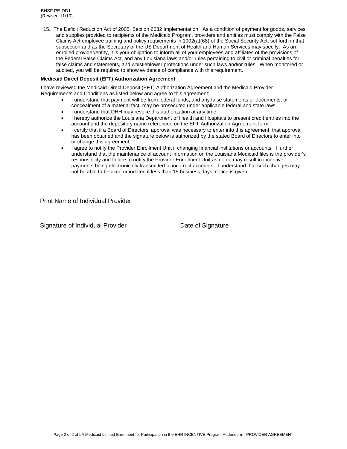15. The Deficit Reduction Act of 2005, Section 6032 Implementation. As a condition of payment for goods, services and supplies provided to recipients of the Medicaid Program, providers and entities must comply with the False Claims Act employee training and policy requiements in 1902(a)(68) of the Social Security Act, set forth in that subsection and as the Secretary of the US Department of Health and Human Services may specify. As an enrolled provider/entity, it is your obligation to inform all of your employees and affiliates of the provisions of the Federal False Claims Act, and any Louisiana laws and/or rules pertaining to civil or criminal penalties for false claims and statements, and whistleblower protections under such laws and/or rules. When monitored or audited, you will be required to show evidence of compliance with this requirement.

#### **Medicaid Direct Deposit (EFT) Authorization Agreement**

I have reviewed the Medicaid Direct Deposit (EFT) Authorization Agreement and the Medicaid Provider Requirements and Conditions as listed below and agree to this agreement:

- I understand that payment will be from federal funds; and any false statements or documents, or concealment of a material fact, may be prosecuted under applicable federal and state laws.
- I understand that DHH may revoke this authorization at any time.
- I hereby authorize the Louisiana Department of Health and Hospitals to present credit entries into the account and the depository name referenced on the EFT Authorization Agreement form.
- I certify that if a Board of Directors' approval was necessary to enter into this agreement, that approval has been obtained and the signature below is authorized by the stated Board of Directors to enter into or change this agreement.
- I agree to notify the Provider Enrollment Unit if changing financial institutions or accounts. I further understand that the maintenance of account information on the Louisiana Medicaid files is the provider's responsibility and failure to notify the Provider Enrollment Unit as noted may result in incentive payments being electronically transmitted to incorrect accounts. I understand that such changes may not be able to be accommodated if less than 15 business days' notice is given.

Print Name of Individual Provider

Signature of Individual Provider **Date of Signature** Date of Signature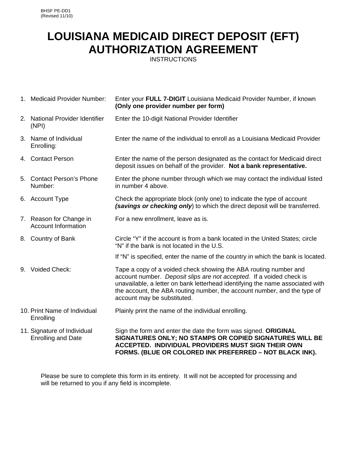## **LOUISIANA MEDICAID DIRECT DEPOSIT (EFT) AUTHORIZATION AGREEMENT**

**INSTRUCTIONS** 

| 1. Medicaid Provider Number:                             | Enter your FULL 7-DIGIT Louisiana Medicaid Provider Number, if known<br>(Only one provider number per form)                                                                                                                                                                                                                          |
|----------------------------------------------------------|--------------------------------------------------------------------------------------------------------------------------------------------------------------------------------------------------------------------------------------------------------------------------------------------------------------------------------------|
| 2. National Provider Identifier<br>(NPI)                 | Enter the 10-digit National Provider Identifier                                                                                                                                                                                                                                                                                      |
| 3. Name of Individual<br>Enrolling:                      | Enter the name of the individual to enroll as a Louisiana Medicaid Provider                                                                                                                                                                                                                                                          |
| 4. Contact Person                                        | Enter the name of the person designated as the contact for Medicaid direct<br>deposit issues on behalf of the provider. Not a bank representative.                                                                                                                                                                                   |
| 5. Contact Person's Phone<br>Number:                     | Enter the phone number through which we may contact the individual listed<br>in number 4 above.                                                                                                                                                                                                                                      |
| 6. Account Type                                          | Check the appropriate block (only one) to indicate the type of account<br>(savings or checking only) to which the direct deposit will be transferred.                                                                                                                                                                                |
| 7. Reason for Change in<br><b>Account Information</b>    | For a new enrollment, leave as is.                                                                                                                                                                                                                                                                                                   |
| 8. Country of Bank                                       | Circle "Y" if the account is from a bank located in the United States; circle<br>"N" if the bank is not located in the U.S.                                                                                                                                                                                                          |
|                                                          | If "N" is specified, enter the name of the country in which the bank is located.                                                                                                                                                                                                                                                     |
| 9. Voided Check:                                         | Tape a copy of a voided check showing the ABA routing number and<br>account number. Deposit slips are not accepted. If a voided check is<br>unavailable, a letter on bank letterhead identifying the name associated with<br>the account, the ABA routing number, the account number, and the type of<br>account may be substituted. |
| 10. Print Name of Individual<br>Enrolling                | Plainly print the name of the individual enrolling.                                                                                                                                                                                                                                                                                  |
| 11. Signature of Individual<br><b>Enrolling and Date</b> | Sign the form and enter the date the form was signed. ORIGINAL<br>SIGNATURES ONLY; NO STAMPS OR COPIED SIGNATURES WILL BE<br>ACCEPTED. INDIVIDUAL PROVIDERS MUST SIGN THEIR OWN<br>FORMS. (BLUE OR COLORED INK PREFERRED - NOT BLACK INK).                                                                                           |

Please be sure to complete this form in its entirety. It will not be accepted for processing and will be returned to you if any field is incomplete.